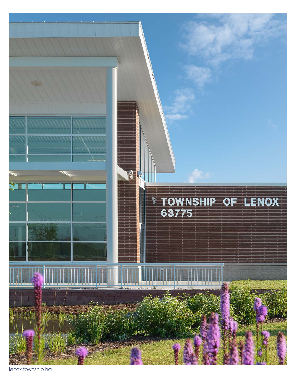

lenox township hall